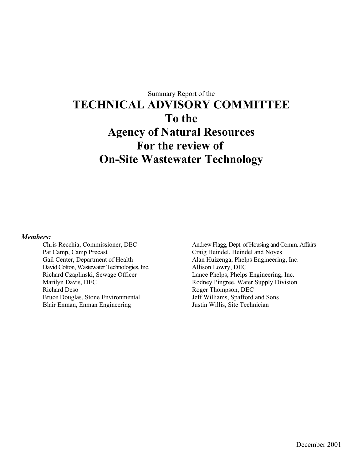# Summary Report of the **TECHNICAL ADVISORY COMMITTEE To the Agency of Natural Resources For the review of On-Site Wastewater Technology**

#### *Members:*

Chris Recchia, Commissioner, DEC Pat Camp, Camp Precast Gail Center, Department of Health David Cotton, Wastewater Technologies, Inc. Richard Czaplinski, Sewage Officer Marilyn Davis, DEC Richard Deso Bruce Douglas, Stone Environmental Blair Enman, Enman Engineering

Andrew Flagg, Dept. of Housing and Comm. Affairs Craig Heindel, Heindel and Noyes Alan Huizenga, Phelps Engineering, Inc. Allison Lowry, DEC Lance Phelps, Phelps Engineering, Inc. Rodney Pingree, Water Supply Division Roger Thompson, DEC Jeff Williams, Spafford and Sons Justin Willis, Site Technician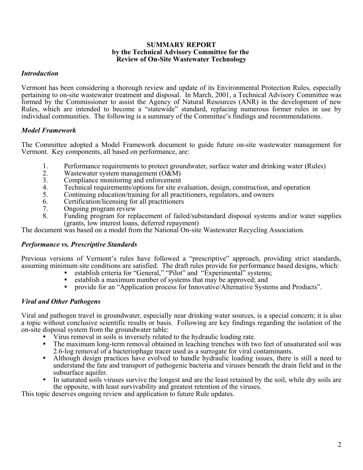#### **SUMMARY REPORT by the Technical Advisory Committee for the Review of On-Site Wastewater Technology**

#### *Introduction*

Vermont has been considering a thorough review and update of its Environmental Protection Rules, especially pertaining to on-site wastewater treatment and disposal. In March, 2001, a Technical Advisory Committee was formed by the Commissioner to assist the Agency of Natural Resources (ANR) in the development of new Rules, which are intended to become a "statewide" standard, replacing numerous former rules in use by individual communities. The following is a summary of the Committee's findings and recommendations.

#### *Model Framework*

The Committee adopted a Model Framework document to guide future on-site wastewater management for Vermont. Key components, all based on performance, are:

- 1. Performance requirements to protect groundwater, surface water and drinking water (Rules)<br>2. Wastewater system management (O&M)
- 2. Wastewater system management  $(O&M)$ <br>3. Compliance monitoring and enforcement
- 3. Compliance monitoring and enforcement<br>4. Technical requirements/options for site ev
- 4. Technical requirements/options for site evaluation, design, construction, and operation<br>5. Continuing education/training for all practitioners, regulators, and owners
- 5. Continuing education/training for all practitioners, regulators, and owners
- 6. Certification/licensing for all practitioners
- 7. Ongoing program review<br>8. Funding program for rep
- Funding program for replacement of failed/substandard disposal systems and/or water supplies (grants, low interest loans, deferred repayment)

The document was based on a model from the National On-site Wastewater Recycling Association.

## *Performance vs. Prescriptive Standards*

Previous versions of Vermont's rules have followed a "prescriptive" approach, providing strict standards, assuming minimum site conditions are satisfied. The draft rules provide for performance based designs, which:

- establish criteria for "General," "Pilot" and "Experimental" systems;
	- establish a maximum number of systems that may be approved; and
	- provide for an "Application process for Innovative/Alternative Systems and Products".

## *Viral and Other Pathogens*

Viral and pathogen travel in groundwater, especially near drinking water sources, is a special concern; it is also a topic without conclusive scientific results or basis. Following are key findings regarding the isolation of the

- 
- Virus removal in soils is inversely related to the hydraulic loading rate.<br>The maximum long-term removal obtained in leaching trenches with two feet of unsaturated soil was<br>2.6-log removal of a bacteriophage tracer used as
- Although design practices have evolved to handle hydraulic loading issues, there is still a need to understand the fate and transport of pathogenic bacteria and viruses beneath the drain field and in the subsurface aquifer.<br>In saturated soils viruses survive the longest and are the least retained by the soil, while dry soils are
- the opposite, with least survivability and greatest retention of the viruses.

This topic deserves ongoing review and application to future Rule updates.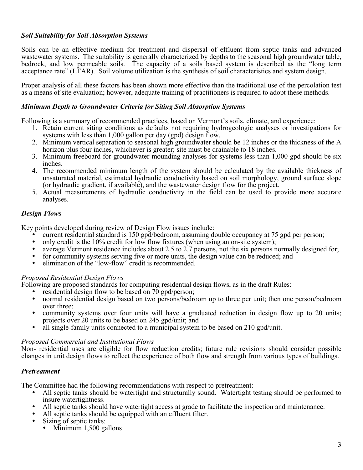# *Soil Suitability for Soil Absorption Systems*

Soils can be an effective medium for treatment and dispersal of effluent from septic tanks and advanced wastewater systems. The suitability is generally characterized by depths to the seasonal high groundwater table, bedrock, and low permeable soils. The capacity of a soils based system is described as the "long term acceptance rate" (LTAR). Soil volume utilization is the synthesis of soil characteristics and system design.

Proper analysis of all these factors has been shown more effective than the traditional use of the percolation test as a means of site evaluation; however, adequate training of practitioners is required to adopt these methods.

#### *Minimum Depth to Groundwater Criteria for Siting Soil Absorption Systems*

Following is a summary of recommended practices, based on Vermont's soils, climate, and experience:

- 1. Retain current siting conditions as defaults not requiring hydrogeologic analyses or investigations for systems with less than 1,000 gallon per day (gpd) design flow.
- 2. Minimum vertical separation to seasonal high groundwater should be 12 inches or the thickness of the A horizon plus four inches, whichever is greater; site must be drainable to 18 inches.
- 3. Minimum freeboard for groundwater mounding analyses for systems less than 1,000 gpd should be six inches.
- 4. The recommended minimum length of the system should be calculated by the available thickness of unsaturated material, estimated hydraulic conductivity based on soil morphology, ground surface slope (or hydraulic gradient, if available), and the wastewater design flow for the project.
- 5. Actual measurements of hydraulic conductivity in the field can be used to provide more accurate analyses.

## *Design Flows*

- 
- 
- Key points developed during review of Design Flow issues include:<br>
 current residential standard is 150 gpd/bedroom, assuming double occupancy at 75 gpd per person;<br>
 only credit is the 10% credit for low flow fixtures (
	-
	-

## *Proposed Residential Design Flows*

- 
- Following are proposed standards for computing residential design flows, as in the draft Rules:<br>• residential design flow to be based on 70 gpd/person;<br>• normal residential design based on two persons/bedroom up to three p
	- over three;<br>
	 community systems over four units will have a graduated reduction in design flow up to 20 units;<br>
	projects over 20 units to be based on 245 gpd/unit; and
	- all single-family units connected to a municipal system to be based on 210 gpd/unit.

#### *Proposed Commercial and Institutional Flows*

Non- residential uses are eligible for flow reduction credits; future rule revisions should consider possible changes in unit design flows to reflect the experience of both flow and strength from various types of buildings.

## *Pretreatment*

The Committee had the following recommendations with respect to pretreatment:

- All septic tanks should be watertight and structurally sound. Watertight testing should be performed to
- insure watertightness.<br>All septic tanks should have watertight access at grade to facilitate the inspection and maintenance.<br>All septic tanks should be equipped with an effluent filter.<br>Sizing of septic tanks:
- 
- - $\bullet$  Minimum 1,500 gallons